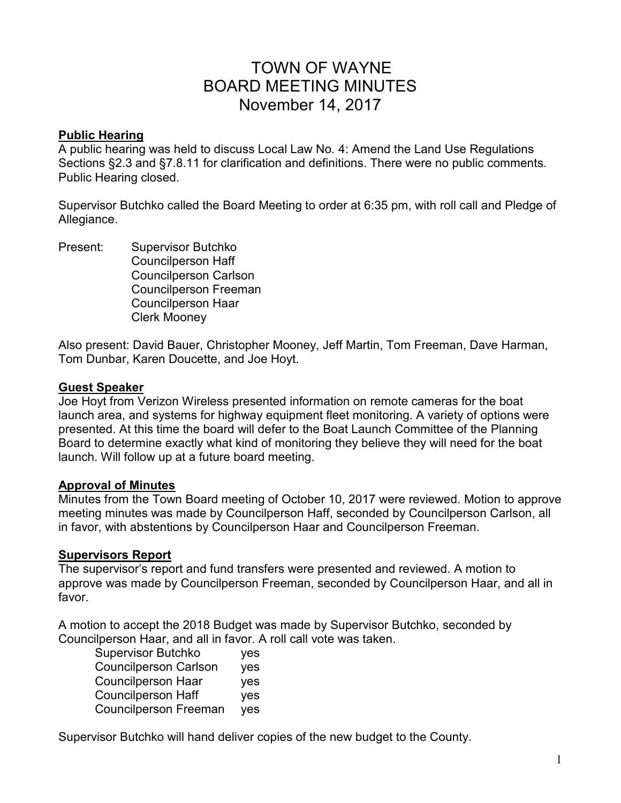# TOWN OF WAYNE BOARD MEETING MINUTES November 14, 2017

#### **Public Hearing**

A public hearing was held to discuss Local Law No. 4: Amend the Land Use Regulations Sections §2.3 and §7.8.11 for clarification and definitions. There were no public comments. Public Hearing closed.

Supervisor Butchko called the Board Meeting to order at 6:35 pm, with roll call and Pledge of Allegiance.

Present: Supervisor Butchko Councilperson Haff Councilperson Carlson Councilperson Freeman Councilperson Haar Clerk Mooney

Also present: David Bauer, Christopher Mooney, Jeff Martin, Tom Freeman, Dave Harman, Tom Dunbar, Karen Doucette, and Joe Hoyt.

#### **Guest Speaker**

Joe Hoyt from Verizon Wireless presented information on remote cameras for the boat launch area, and systems for highway equipment fleet monitoring. A variety of options were presented. At this time the board will defer to the Boat Launch Committee of the Planning Board to determine exactly what kind of monitoring they believe they will need for the boat launch. Will follow up at a future board meeting.

#### **Approval of Minutes**

Minutes from the Town Board meeting of October 10, 2017 were reviewed. Motion to approve meeting minutes was made by Councilperson Haff, seconded by Councilperson Carlson, all in favor, with abstentions by Councilperson Haar and Councilperson Freeman.

#### **Supervisors Report**

The supervisor's report and fund transfers were presented and reviewed. A motion to approve was made by Councilperson Freeman, seconded by Councilperson Haar, and all in favor.

A motion to accept the 2018 Budget was made by Supervisor Butchko, seconded by Councilperson Haar, and all in favor. A roll call vote was taken.

| <b>Supervisor Butchko</b>    | yes        |
|------------------------------|------------|
| <b>Councilperson Carlson</b> | yes        |
| <b>Councilperson Haar</b>    | yes        |
| <b>Councilperson Haff</b>    | <b>ves</b> |
| <b>Councilperson Freeman</b> | yes        |

Supervisor Butchko will hand deliver copies of the new budget to the County.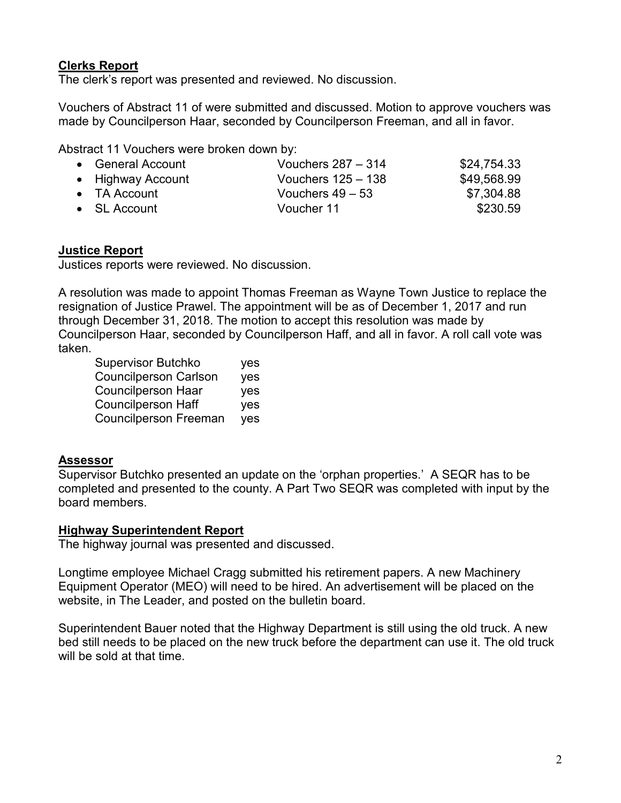# **Clerks Report**

The clerk's report was presented and reviewed. No discussion.

Vouchers of Abstract 11 of were submitted and discussed. Motion to approve vouchers was made by Councilperson Haar, seconded by Councilperson Freeman, and all in favor.

Abstract 11 Vouchers were broken down by:

| • General Account    | Vouchers $287 - 314$ | \$24,754.33 |
|----------------------|----------------------|-------------|
| • Highway Account    | Vouchers $125 - 138$ | \$49,568.99 |
| $\bullet$ TA Account | Vouchers $49 - 53$   | \$7,304.88  |
| $\bullet$ SL Account | Voucher 11           | \$230.59    |

## **Justice Report**

Justices reports were reviewed. No discussion.

A resolution was made to appoint Thomas Freeman as Wayne Town Justice to replace the resignation of Justice Prawel. The appointment will be as of December 1, 2017 and run through December 31, 2018. The motion to accept this resolution was made by Councilperson Haar, seconded by Councilperson Haff, and all in favor. A roll call vote was taken.

| yes        |
|------------|
| yes        |
| <b>ves</b> |
| yes        |
| yes        |
|            |

## **Assessor**

Supervisor Butchko presented an update on the 'orphan properties.' A SEQR has to be completed and presented to the county. A Part Two SEQR was completed with input by the board members.

## **Highway Superintendent Report**

The highway journal was presented and discussed.

Longtime employee Michael Cragg submitted his retirement papers. A new Machinery Equipment Operator (MEO) will need to be hired. An advertisement will be placed on the website, in The Leader, and posted on the bulletin board.

Superintendent Bauer noted that the Highway Department is still using the old truck. A new bed still needs to be placed on the new truck before the department can use it. The old truck will be sold at that time.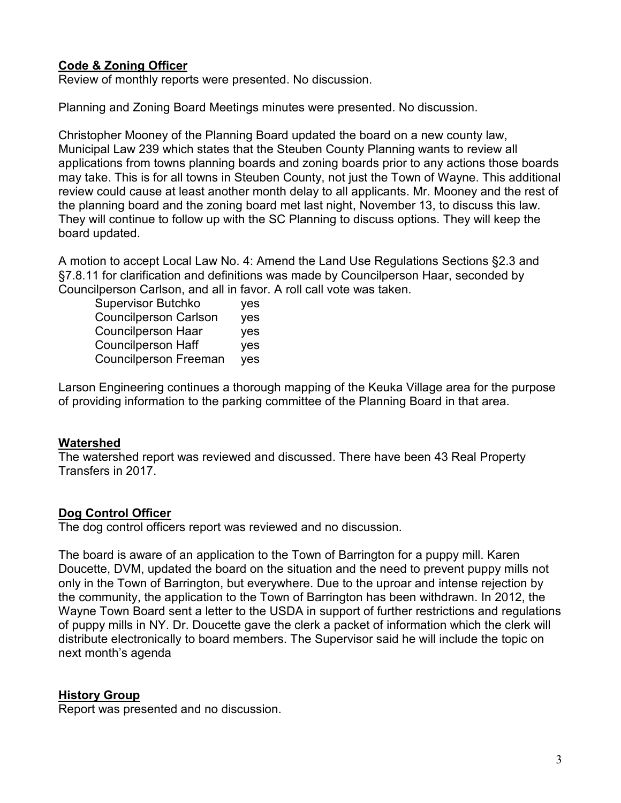# **Code & Zoning Officer**

Review of monthly reports were presented. No discussion.

Planning and Zoning Board Meetings minutes were presented. No discussion.

Christopher Mooney of the Planning Board updated the board on a new county law, Municipal Law 239 which states that the Steuben County Planning wants to review all applications from towns planning boards and zoning boards prior to any actions those boards may take. This is for all towns in Steuben County, not just the Town of Wayne. This additional review could cause at least another month delay to all applicants. Mr. Mooney and the rest of the planning board and the zoning board met last night, November 13, to discuss this law. They will continue to follow up with the SC Planning to discuss options. They will keep the board updated.

A motion to accept Local Law No. 4: Amend the Land Use Regulations Sections §2.3 and §7.8.11 for clarification and definitions was made by Councilperson Haar, seconded by Councilperson Carlson, and all in favor. A roll call vote was taken.

 Supervisor Butchko yes Councilperson Carlson yes Councilperson Haar yes Councilperson Haff yes Councilperson Freeman yes

Larson Engineering continues a thorough mapping of the Keuka Village area for the purpose of providing information to the parking committee of the Planning Board in that area.

# **Watershed**

The watershed report was reviewed and discussed. There have been 43 Real Property Transfers in 2017.

# **Dog Control Officer**

The dog control officers report was reviewed and no discussion.

The board is aware of an application to the Town of Barrington for a puppy mill. Karen Doucette, DVM, updated the board on the situation and the need to prevent puppy mills not only in the Town of Barrington, but everywhere. Due to the uproar and intense rejection by the community, the application to the Town of Barrington has been withdrawn. In 2012, the Wayne Town Board sent a letter to the USDA in support of further restrictions and regulations of puppy mills in NY. Dr. Doucette gave the clerk a packet of information which the clerk will distribute electronically to board members. The Supervisor said he will include the topic on next month's agenda

# **History Group**

Report was presented and no discussion.